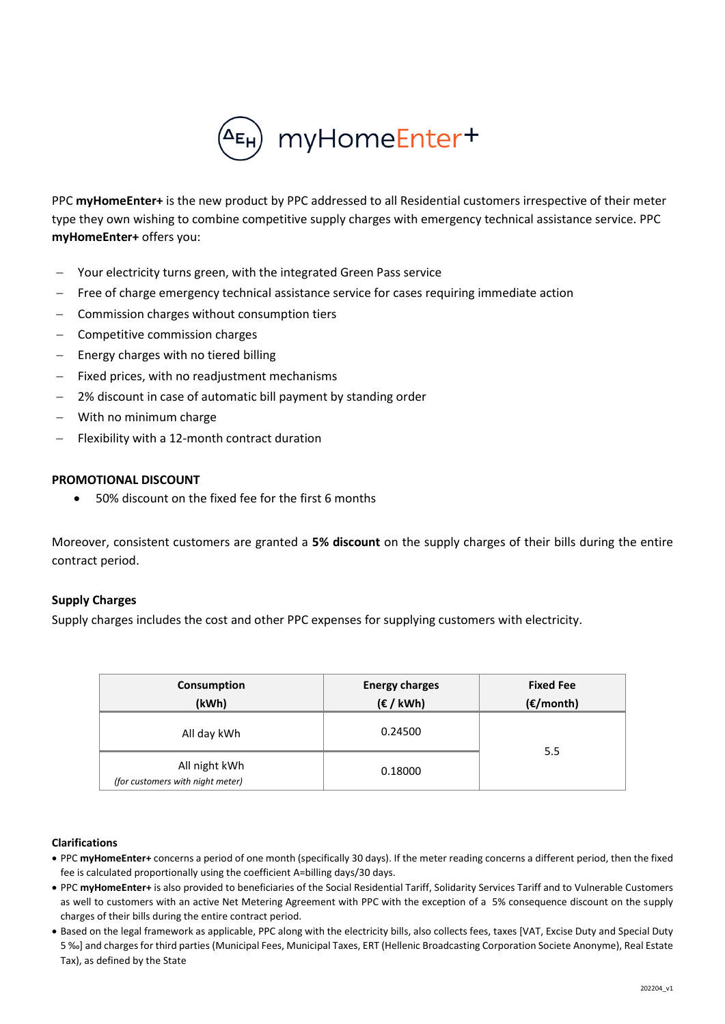

PPC **myHomeEnter+** is the new product by PPC addressed to all Residential customers irrespective of their meter type they own wishing to combine competitive supply charges with emergency technical assistance service. PPC **myHomeEnter+** offers you:

- Your electricity turns green, with the integrated Green Pass service
- Free of charge emergency technical assistance service for cases requiring immediate action
- − Commission charges without consumption tiers
- − Competitive commission charges
- Energy charges with no tiered billing
- Fixed prices, with no readjustment mechanisms
- 2% discount in case of automatic bill payment by standing order
- With no minimum charge
- Flexibility with a 12-month contract duration

## **PROMOTIONAL DISCOUNT**

• 50% discount on the fixed fee for the first 6 months

Moreover, consistent customers are granted a **5% discount** on the supply charges of their bills during the entire contract period.

## **Supply Charges**

Supply charges includes the cost and other PPC expenses for supplying customers with electricity.

| Consumption<br>(kWh)                              | <b>Energy charges</b><br>(E / kWh) | <b>Fixed Fee</b><br>$(\epsilon$ /month) |
|---------------------------------------------------|------------------------------------|-----------------------------------------|
| All day kWh                                       | 0.24500                            |                                         |
| All night kWh<br>(for customers with night meter) | 0.18000                            | 5.5                                     |

## **Clarifications**

- PPC **myHomeEnter+** concerns a period of one month (specifically 30 days). If the meter reading concerns a different period, then the fixed fee is calculated proportionally using the coefficient A=billing days/30 days.
- PPC **myHomeEnter+** is also provided to beneficiaries of the Social Residential Tariff, Solidarity Services Tariff and to Vulnerable Customers as well to customers with an active Net Metering Agreement with PPC with the exception of a 5% consequence discount on the supply charges of their bills during the entire contract period.
- Based on the legal framework as applicable, PPC along with the electricity bills, also collects fees, taxes [VAT, Excise Duty and Special Duty 5 ‰] and charges for third parties (Municipal Fees, Municipal Taxes, ERT (Hellenic Broadcasting Corporation Societe Anonyme), Real Estate Tax), as defined by the State